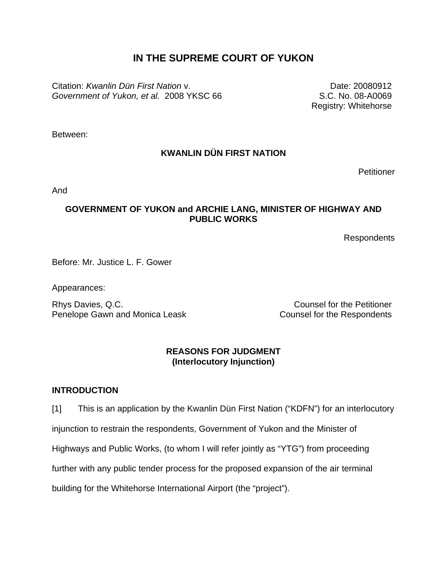# **IN THE SUPREME COURT OF YUKON**

Citation: *Kwanlin Dün First Nation* v. *Government of Yukon, et al.* 2008 YKSC 66

Date: 20080912 S.C. No. 08-A0069 Registry: Whitehorse

Between:

## **KWANLIN DÜN FIRST NATION**

**Petitioner** 

And

### **GOVERNMENT OF YUKON and ARCHIE LANG, MINISTER OF HIGHWAY AND PUBLIC WORKS**

Respondents

Before: Mr. Justice L. F. Gower

Appearances:

Rhys Davies, Q.C. Counsel for the Petitioner Penelope Gawn and Monica Leask Counsel for the Respondents

### **REASONS FOR JUDGMENT (Interlocutory Injunction)**

### **INTRODUCTION**

[1] This is an application by the Kwanlin Dün First Nation ("KDFN") for an interlocutory injunction to restrain the respondents, Government of Yukon and the Minister of Highways and Public Works, (to whom I will refer jointly as "YTG") from proceeding further with any public tender process for the proposed expansion of the air terminal building for the Whitehorse International Airport (the "project").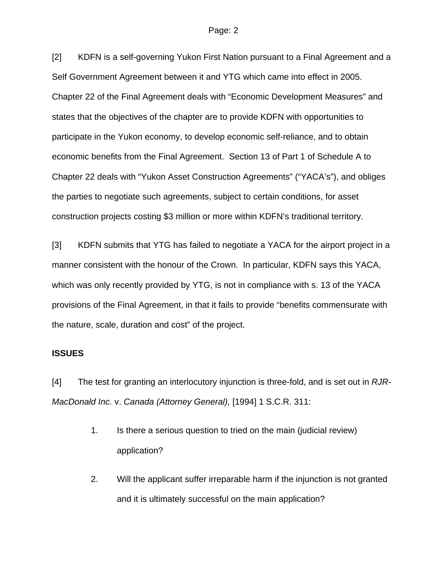[2] KDFN is a self-governing Yukon First Nation pursuant to a Final Agreement and a Self Government Agreement between it and YTG which came into effect in 2005. Chapter 22 of the Final Agreement deals with "Economic Development Measures" and states that the objectives of the chapter are to provide KDFN with opportunities to participate in the Yukon economy, to develop economic self-reliance, and to obtain economic benefits from the Final Agreement. Section 13 of Part 1 of Schedule A to Chapter 22 deals with "Yukon Asset Construction Agreements" ("YACA's"), and obliges the parties to negotiate such agreements, subject to certain conditions, for asset construction projects costing \$3 million or more within KDFN's traditional territory.

[3] KDFN submits that YTG has failed to negotiate a YACA for the airport project in a manner consistent with the honour of the Crown. In particular, KDFN says this YACA, which was only recently provided by YTG, is not in compliance with s. 13 of the YACA provisions of the Final Agreement, in that it fails to provide "benefits commensurate with the nature, scale, duration and cost" of the project.

### **ISSUES**

[4] The test for granting an interlocutory injunction is three-fold, and is set out in *RJR-MacDonald Inc.* v. *Canada (Attorney General),* [1994] 1 S.C.R. 311:

- 1. Is there a serious question to tried on the main (judicial review) application?
- 2. Will the applicant suffer irreparable harm if the injunction is not granted and it is ultimately successful on the main application?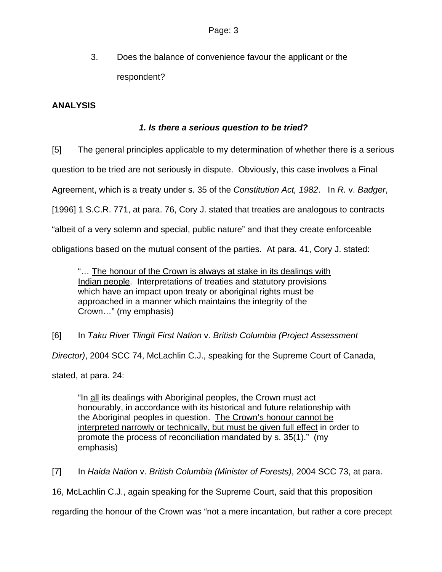3. Does the balance of convenience favour the applicant or the respondent?

## **ANALYSIS**

## *1. Is there a serious question to be tried?*

[5] The general principles applicable to my determination of whether there is a serious question to be tried are not seriously in dispute. Obviously, this case involves a Final Agreement, which is a treaty under s. 35 of the *Constitution Act, 1982*. In *R.* v. *Badger*, [1996] 1 S.C.R. 771, at para. 76, Cory J. stated that treaties are analogous to contracts "albeit of a very solemn and special, public nature" and that they create enforceable obligations based on the mutual consent of the parties. At para. 41, Cory J. stated:

"… The honour of the Crown is always at stake in its dealings with Indian people. Interpretations of treaties and statutory provisions which have an impact upon treaty or aboriginal rights must be approached in a manner which maintains the integrity of the Crown…" (my emphasis)

[6] In *Taku River Tlingit First Nation* v. *British Columbia (Project Assessment Director)*, 2004 SCC 74, McLachlin C.J., speaking for the Supreme Court of Canada, stated, at para. 24:

"In all its dealings with Aboriginal peoples, the Crown must act honourably, in accordance with its historical and future relationship with the Aboriginal peoples in question. The Crown's honour cannot be interpreted narrowly or technically, but must be given full effect in order to promote the process of reconciliation mandated by s. 35(1)." (my emphasis)

[7] In *Haida Nation* v. *British Columbia (Minister of Forests)*, 2004 SCC 73, at para.

16, McLachlin C.J., again speaking for the Supreme Court, said that this proposition

regarding the honour of the Crown was "not a mere incantation, but rather a core precept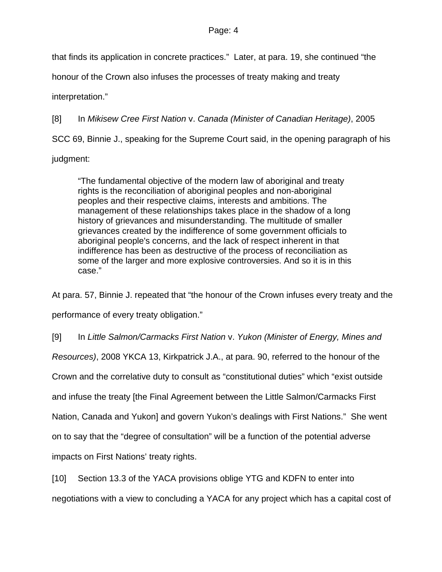that finds its application in concrete practices." Later, at para. 19, she continued "the

honour of the Crown also infuses the processes of treaty making and treaty

interpretation."

[8] In *Mikisew Cree First Nation* v. *Canada (Minister of Canadian Heritage)*, 2005 SCC 69, Binnie J., speaking for the Supreme Court said, in the opening paragraph of his judgment:

"The fundamental objective of the modern law of aboriginal and treaty rights is the reconciliation of aboriginal peoples and non-aboriginal peoples and their respective claims, interests and ambitions. The management of these relationships takes place in the shadow of a long history of grievances and misunderstanding. The multitude of smaller grievances created by the indifference of some government officials to aboriginal people's concerns, and the lack of respect inherent in that indifference has been as destructive of the process of reconciliation as some of the larger and more explosive controversies. And so it is in this case."

At para. 57, Binnie J. repeated that "the honour of the Crown infuses every treaty and the performance of every treaty obligation."

[9] In *Little Salmon/Carmacks First Nation* v. *Yukon (Minister of Energy, Mines and Resources)*, 2008 YKCA 13, Kirkpatrick J.A., at para. 90, referred to the honour of the Crown and the correlative duty to consult as "constitutional duties" which "exist outside and infuse the treaty [the Final Agreement between the Little Salmon/Carmacks First Nation, Canada and Yukon] and govern Yukon's dealings with First Nations." She went on to say that the "degree of consultation" will be a function of the potential adverse impacts on First Nations' treaty rights.

[10] Section 13.3 of the YACA provisions oblige YTG and KDFN to enter into negotiations with a view to concluding a YACA for any project which has a capital cost of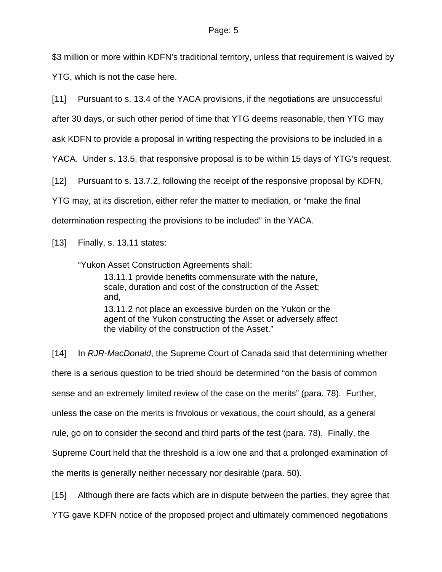\$3 million or more within KDFN's traditional territory, unless that requirement is waived by YTG, which is not the case here.

[11] Pursuant to s. 13.4 of the YACA provisions, if the negotiations are unsuccessful

after 30 days, or such other period of time that YTG deems reasonable, then YTG may

ask KDFN to provide a proposal in writing respecting the provisions to be included in a

YACA. Under s. 13.5, that responsive proposal is to be within 15 days of YTG's request.

[12] Pursuant to s. 13.7.2, following the receipt of the responsive proposal by KDFN,

YTG may, at its discretion, either refer the matter to mediation, or "make the final

determination respecting the provisions to be included" in the YACA*.*

[13] Finally, s. 13.11 states:

"Yukon Asset Construction Agreements shall:

13.11.1 provide benefits commensurate with the nature, scale, duration and cost of the construction of the Asset; and, 13.11.2 not place an excessive burden on the Yukon or the agent of the Yukon constructing the Asset or adversely affect the viability of the construction of the Asset."

[14] In *RJR-MacDonald*, the Supreme Court of Canada said that determining whether there is a serious question to be tried should be determined "on the basis of common sense and an extremely limited review of the case on the merits" (para. 78). Further, unless the case on the merits is frivolous or vexatious, the court should, as a general rule, go on to consider the second and third parts of the test (para. 78). Finally, the Supreme Court held that the threshold is a low one and that a prolonged examination of the merits is generally neither necessary nor desirable (para. 50).

[15] Although there are facts which are in dispute between the parties, they agree that

YTG gave KDFN notice of the proposed project and ultimately commenced negotiations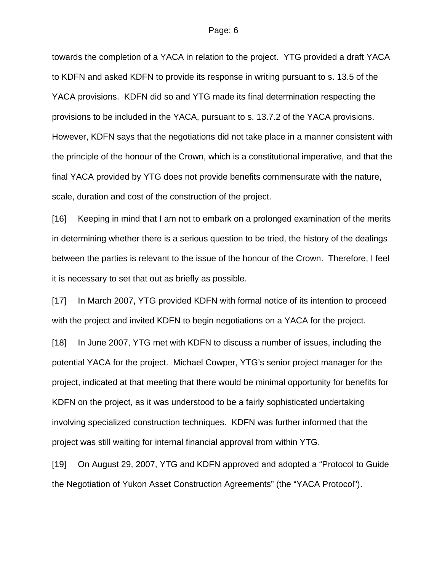towards the completion of a YACA in relation to the project. YTG provided a draft YACA to KDFN and asked KDFN to provide its response in writing pursuant to s. 13.5 of the YACA provisions. KDFN did so and YTG made its final determination respecting the provisions to be included in the YACA, pursuant to s. 13.7.2 of the YACA provisions. However, KDFN says that the negotiations did not take place in a manner consistent with the principle of the honour of the Crown, which is a constitutional imperative, and that the final YACA provided by YTG does not provide benefits commensurate with the nature, scale, duration and cost of the construction of the project.

[16] Keeping in mind that I am not to embark on a prolonged examination of the merits in determining whether there is a serious question to be tried, the history of the dealings between the parties is relevant to the issue of the honour of the Crown. Therefore, I feel it is necessary to set that out as briefly as possible.

[17] In March 2007, YTG provided KDFN with formal notice of its intention to proceed with the project and invited KDFN to begin negotiations on a YACA for the project.

[18] In June 2007, YTG met with KDFN to discuss a number of issues, including the potential YACA for the project. Michael Cowper, YTG's senior project manager for the project, indicated at that meeting that there would be minimal opportunity for benefits for KDFN on the project, as it was understood to be a fairly sophisticated undertaking involving specialized construction techniques. KDFN was further informed that the project was still waiting for internal financial approval from within YTG.

[19] On August 29, 2007, YTG and KDFN approved and adopted a "Protocol to Guide the Negotiation of Yukon Asset Construction Agreements" (the "YACA Protocol").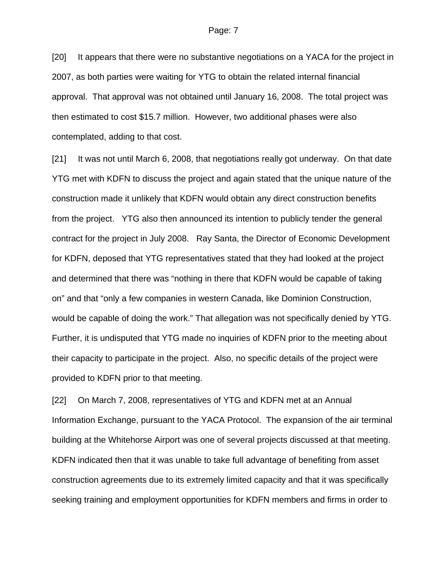[20] It appears that there were no substantive negotiations on a YACA for the project in 2007, as both parties were waiting for YTG to obtain the related internal financial approval. That approval was not obtained until January 16, 2008. The total project was then estimated to cost \$15.7 million. However, two additional phases were also contemplated, adding to that cost.

[21] It was not until March 6, 2008, that negotiations really got underway. On that date YTG met with KDFN to discuss the project and again stated that the unique nature of the construction made it unlikely that KDFN would obtain any direct construction benefits from the project. YTG also then announced its intention to publicly tender the general contract for the project in July 2008. Ray Santa, the Director of Economic Development for KDFN, deposed that YTG representatives stated that they had looked at the project and determined that there was "nothing in there that KDFN would be capable of taking on" and that "only a few companies in western Canada, like Dominion Construction, would be capable of doing the work." That allegation was not specifically denied by YTG. Further, it is undisputed that YTG made no inquiries of KDFN prior to the meeting about their capacity to participate in the project. Also, no specific details of the project were provided to KDFN prior to that meeting.

[22] On March 7, 2008, representatives of YTG and KDFN met at an Annual Information Exchange, pursuant to the YACA Protocol. The expansion of the air terminal building at the Whitehorse Airport was one of several projects discussed at that meeting. KDFN indicated then that it was unable to take full advantage of benefiting from asset construction agreements due to its extremely limited capacity and that it was specifically seeking training and employment opportunities for KDFN members and firms in order to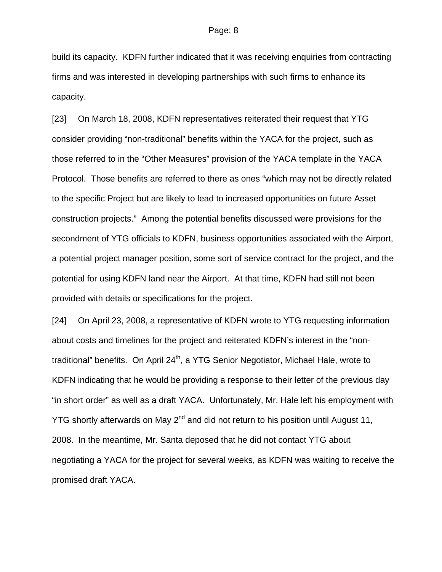build its capacity. KDFN further indicated that it was receiving enquiries from contracting firms and was interested in developing partnerships with such firms to enhance its capacity.

[23] On March 18, 2008, KDFN representatives reiterated their request that YTG consider providing "non-traditional" benefits within the YACA for the project, such as those referred to in the "Other Measures" provision of the YACA template in the YACA Protocol. Those benefits are referred to there as ones "which may not be directly related to the specific Project but are likely to lead to increased opportunities on future Asset construction projects." Among the potential benefits discussed were provisions for the secondment of YTG officials to KDFN, business opportunities associated with the Airport, a potential project manager position, some sort of service contract for the project, and the potential for using KDFN land near the Airport. At that time, KDFN had still not been provided with details or specifications for the project.

[24] On April 23, 2008, a representative of KDFN wrote to YTG requesting information about costs and timelines for the project and reiterated KDFN's interest in the "nontraditional" benefits. On April 24<sup>th</sup>, a YTG Senior Negotiator, Michael Hale, wrote to KDFN indicating that he would be providing a response to their letter of the previous day "in short order" as well as a draft YACA. Unfortunately, Mr. Hale left his employment with YTG shortly afterwards on May 2<sup>nd</sup> and did not return to his position until August 11, 2008. In the meantime, Mr. Santa deposed that he did not contact YTG about negotiating a YACA for the project for several weeks, as KDFN was waiting to receive the promised draft YACA.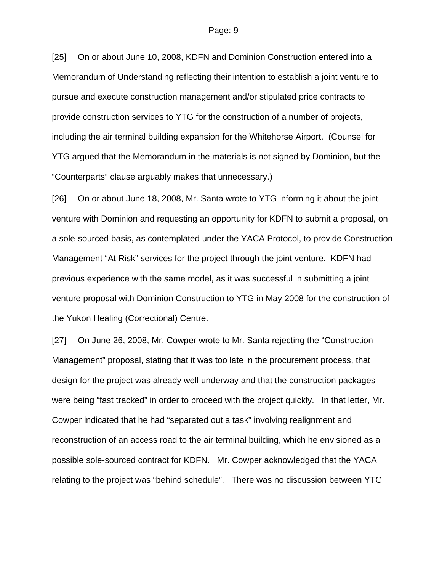[25] On or about June 10, 2008, KDFN and Dominion Construction entered into a Memorandum of Understanding reflecting their intention to establish a joint venture to pursue and execute construction management and/or stipulated price contracts to provide construction services to YTG for the construction of a number of projects, including the air terminal building expansion for the Whitehorse Airport. (Counsel for YTG argued that the Memorandum in the materials is not signed by Dominion, but the "Counterparts" clause arguably makes that unnecessary.)

[26] On or about June 18, 2008, Mr. Santa wrote to YTG informing it about the joint venture with Dominion and requesting an opportunity for KDFN to submit a proposal, on a sole-sourced basis, as contemplated under the YACA Protocol, to provide Construction Management "At Risk" services for the project through the joint venture. KDFN had previous experience with the same model, as it was successful in submitting a joint venture proposal with Dominion Construction to YTG in May 2008 for the construction of the Yukon Healing (Correctional) Centre.

[27] On June 26, 2008, Mr. Cowper wrote to Mr. Santa rejecting the "Construction Management" proposal, stating that it was too late in the procurement process, that design for the project was already well underway and that the construction packages were being "fast tracked" in order to proceed with the project quickly. In that letter, Mr. Cowper indicated that he had "separated out a task" involving realignment and reconstruction of an access road to the air terminal building, which he envisioned as a possible sole-sourced contract for KDFN. Mr. Cowper acknowledged that the YACA relating to the project was "behind schedule". There was no discussion between YTG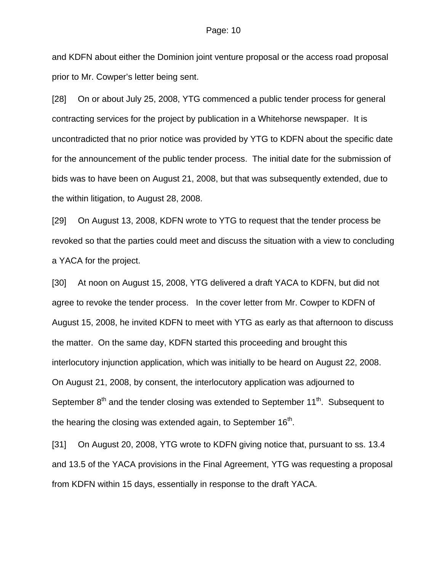and KDFN about either the Dominion joint venture proposal or the access road proposal prior to Mr. Cowper's letter being sent.

[28] On or about July 25, 2008, YTG commenced a public tender process for general contracting services for the project by publication in a Whitehorse newspaper. It is uncontradicted that no prior notice was provided by YTG to KDFN about the specific date for the announcement of the public tender process. The initial date for the submission of bids was to have been on August 21, 2008, but that was subsequently extended, due to the within litigation, to August 28, 2008.

[29] On August 13, 2008, KDFN wrote to YTG to request that the tender process be revoked so that the parties could meet and discuss the situation with a view to concluding a YACA for the project.

[30] At noon on August 15, 2008, YTG delivered a draft YACA to KDFN, but did not agree to revoke the tender process. In the cover letter from Mr. Cowper to KDFN of August 15, 2008, he invited KDFN to meet with YTG as early as that afternoon to discuss the matter. On the same day, KDFN started this proceeding and brought this interlocutory injunction application, which was initially to be heard on August 22, 2008. On August 21, 2008, by consent, the interlocutory application was adjourned to September  $8<sup>th</sup>$  and the tender closing was extended to September 11<sup>th</sup>. Subsequent to the hearing the closing was extended again, to September  $16<sup>th</sup>$ .

[31] On August 20, 2008, YTG wrote to KDFN giving notice that, pursuant to ss. 13.4 and 13.5 of the YACA provisions in the Final Agreement, YTG was requesting a proposal from KDFN within 15 days, essentially in response to the draft YACA.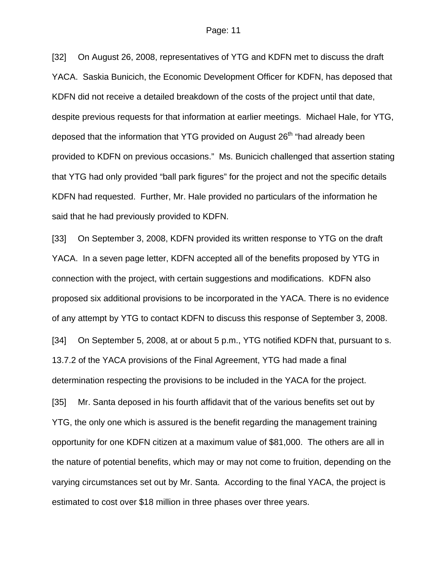[32] On August 26, 2008, representatives of YTG and KDFN met to discuss the draft YACA. Saskia Bunicich, the Economic Development Officer for KDFN, has deposed that KDFN did not receive a detailed breakdown of the costs of the project until that date, despite previous requests for that information at earlier meetings. Michael Hale, for YTG, deposed that the information that YTG provided on August  $26<sup>th</sup>$  "had already been provided to KDFN on previous occasions." Ms. Bunicich challenged that assertion stating that YTG had only provided "ball park figures" for the project and not the specific details KDFN had requested. Further, Mr. Hale provided no particulars of the information he said that he had previously provided to KDFN.

[33] On September 3, 2008, KDFN provided its written response to YTG on the draft YACA. In a seven page letter, KDFN accepted all of the benefits proposed by YTG in connection with the project, with certain suggestions and modifications. KDFN also proposed six additional provisions to be incorporated in the YACA. There is no evidence of any attempt by YTG to contact KDFN to discuss this response of September 3, 2008. [34] On September 5, 2008, at or about 5 p.m., YTG notified KDFN that, pursuant to s. 13.7.2 of the YACA provisions of the Final Agreement, YTG had made a final determination respecting the provisions to be included in the YACA for the project. [35] Mr. Santa deposed in his fourth affidavit that of the various benefits set out by YTG, the only one which is assured is the benefit regarding the management training opportunity for one KDFN citizen at a maximum value of \$81,000. The others are all in the nature of potential benefits, which may or may not come to fruition, depending on the varying circumstances set out by Mr. Santa. According to the final YACA, the project is estimated to cost over \$18 million in three phases over three years.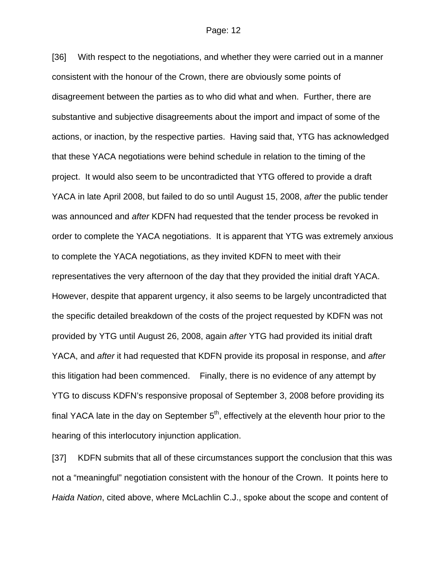[36] With respect to the negotiations, and whether they were carried out in a manner consistent with the honour of the Crown, there are obviously some points of disagreement between the parties as to who did what and when. Further, there are substantive and subjective disagreements about the import and impact of some of the actions, or inaction, by the respective parties. Having said that, YTG has acknowledged that these YACA negotiations were behind schedule in relation to the timing of the project. It would also seem to be uncontradicted that YTG offered to provide a draft YACA in late April 2008, but failed to do so until August 15, 2008, *after* the public tender was announced and *after* KDFN had requested that the tender process be revoked in order to complete the YACA negotiations. It is apparent that YTG was extremely anxious to complete the YACA negotiations, as they invited KDFN to meet with their representatives the very afternoon of the day that they provided the initial draft YACA. However, despite that apparent urgency, it also seems to be largely uncontradicted that the specific detailed breakdown of the costs of the project requested by KDFN was not provided by YTG until August 26, 2008, again *after* YTG had provided its initial draft YACA, and *after* it had requested that KDFN provide its proposal in response, and *after* this litigation had been commenced. Finally, there is no evidence of any attempt by YTG to discuss KDFN's responsive proposal of September 3, 2008 before providing its final YACA late in the day on September  $5<sup>th</sup>$ , effectively at the eleventh hour prior to the hearing of this interlocutory injunction application.

[37] KDFN submits that all of these circumstances support the conclusion that this was not a "meaningful" negotiation consistent with the honour of the Crown. It points here to *Haida Nation*, cited above, where McLachlin C.J., spoke about the scope and content of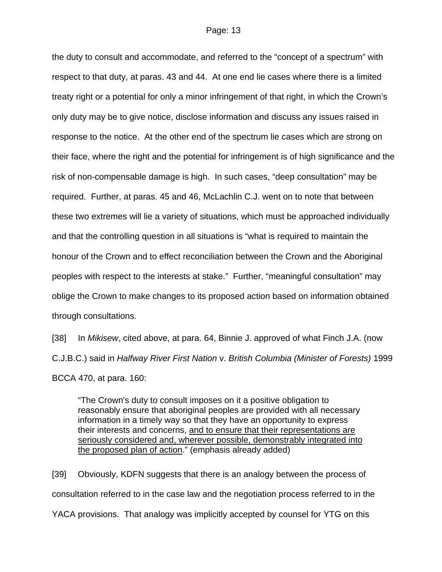the duty to consult and accommodate, and referred to the "concept of a spectrum" with respect to that duty, at paras. 43 and 44. At one end lie cases where there is a limited treaty right or a potential for only a minor infringement of that right, in which the Crown's only duty may be to give notice, disclose information and discuss any issues raised in response to the notice. At the other end of the spectrum lie cases which are strong on their face, where the right and the potential for infringement is of high significance and the risk of non-compensable damage is high. In such cases, "deep consultation" may be required. Further, at paras. 45 and 46, McLachlin C.J. went on to note that between these two extremes will lie a variety of situations, which must be approached individually and that the controlling question in all situations is "what is required to maintain the honour of the Crown and to effect reconciliation between the Crown and the Aboriginal peoples with respect to the interests at stake." Further, "meaningful consultation" may oblige the Crown to make changes to its proposed action based on information obtained through consultations.

[38] In *Mikisew*, cited above, at para. 64, Binnie J. approved of what Finch J.A. (now C.J.B.C.) said in *Halfway River First Nation* v. *British Columbia (Minister of Forests)* 1999 BCCA 470, at para. 160:

"The Crown's duty to consult imposes on it a positive obligation to reasonably ensure that aboriginal peoples are provided with all necessary information in a timely way so that they have an opportunity to express their interests and concerns, and to ensure that their representations are seriously considered and, wherever possible, demonstrably integrated into the proposed plan of action." (emphasis already added)

[39] Obviously, KDFN suggests that there is an analogy between the process of consultation referred to in the case law and the negotiation process referred to in the YACA provisions. That analogy was implicitly accepted by counsel for YTG on this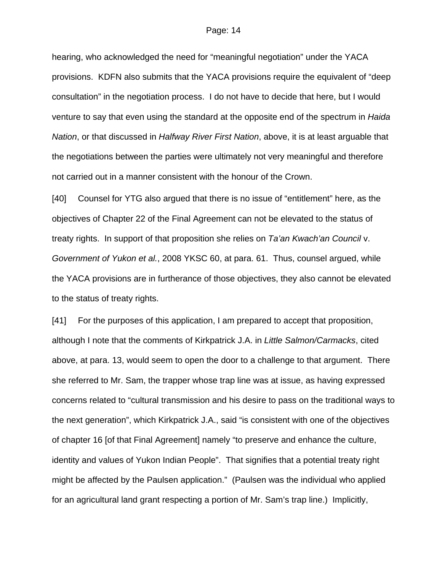hearing, who acknowledged the need for "meaningful negotiation" under the YACA provisions. KDFN also submits that the YACA provisions require the equivalent of "deep consultation" in the negotiation process. I do not have to decide that here, but I would venture to say that even using the standard at the opposite end of the spectrum in *Haida Nation*, or that discussed in *Halfway River First Nation*, above, it is at least arguable that the negotiations between the parties were ultimately not very meaningful and therefore not carried out in a manner consistent with the honour of the Crown.

[40] Counsel for YTG also argued that there is no issue of "entitlement" here, as the objectives of Chapter 22 of the Final Agreement can not be elevated to the status of treaty rights. In support of that proposition she relies on *Ta'an Kwach'an Council* v. *Government of Yukon et al.*, 2008 YKSC 60, at para. 61. Thus, counsel argued, while the YACA provisions are in furtherance of those objectives, they also cannot be elevated to the status of treaty rights.

[41] For the purposes of this application, I am prepared to accept that proposition, although I note that the comments of Kirkpatrick J.A. in *Little Salmon/Carmacks*, cited above, at para. 13, would seem to open the door to a challenge to that argument. There she referred to Mr. Sam, the trapper whose trap line was at issue, as having expressed concerns related to "cultural transmission and his desire to pass on the traditional ways to the next generation", which Kirkpatrick J.A., said "is consistent with one of the objectives of chapter 16 [of that Final Agreement] namely "to preserve and enhance the culture, identity and values of Yukon Indian People". That signifies that a potential treaty right might be affected by the Paulsen application." (Paulsen was the individual who applied for an agricultural land grant respecting a portion of Mr. Sam's trap line.) Implicitly,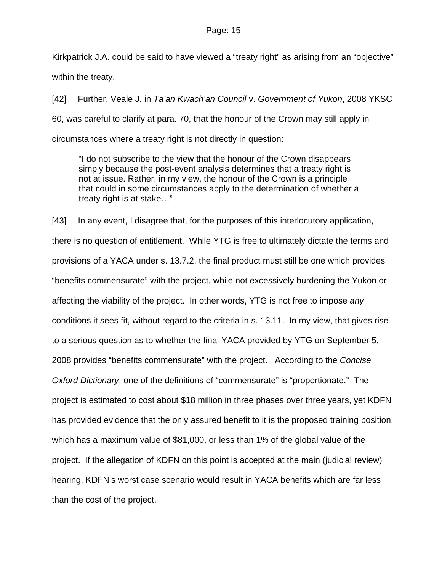Kirkpatrick J.A. could be said to have viewed a "treaty right" as arising from an "objective" within the treaty.

[42] Further, Veale J. in *Ta'an Kwach'an Council* v. *Government of Yukon*, 2008 YKSC 60, was careful to clarify at para. 70, that the honour of the Crown may still apply in circumstances where a treaty right is not directly in question:

"I do not subscribe to the view that the honour of the Crown disappears simply because the post-event analysis determines that a treaty right is not at issue. Rather, in my view, the honour of the Crown is a principle that could in some circumstances apply to the determination of whether a treaty right is at stake…"

[43] In any event, I disagree that, for the purposes of this interlocutory application, there is no question of entitlement. While YTG is free to ultimately dictate the terms and provisions of a YACA under s. 13.7.2, the final product must still be one which provides "benefits commensurate" with the project, while not excessively burdening the Yukon or affecting the viability of the project. In other words, YTG is not free to impose *any* conditions it sees fit, without regard to the criteria in s. 13.11. In my view, that gives rise to a serious question as to whether the final YACA provided by YTG on September 5, 2008 provides "benefits commensurate" with the project. According to the *Concise Oxford Dictionary*, one of the definitions of "commensurate" is "proportionate." The project is estimated to cost about \$18 million in three phases over three years, yet KDFN has provided evidence that the only assured benefit to it is the proposed training position, which has a maximum value of \$81,000, or less than 1% of the global value of the project. If the allegation of KDFN on this point is accepted at the main (judicial review) hearing, KDFN's worst case scenario would result in YACA benefits which are far less than the cost of the project.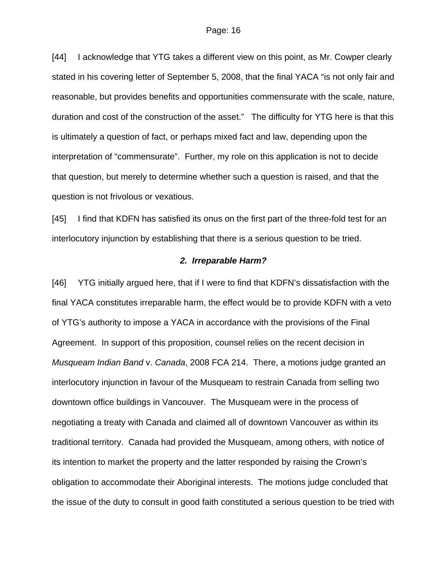[44] I acknowledge that YTG takes a different view on this point, as Mr. Cowper clearly stated in his covering letter of September 5, 2008, that the final YACA "is not only fair and reasonable, but provides benefits and opportunities commensurate with the scale, nature, duration and cost of the construction of the asset." The difficulty for YTG here is that this is ultimately a question of fact, or perhaps mixed fact and law, depending upon the interpretation of "commensurate". Further, my role on this application is not to decide that question, but merely to determine whether such a question is raised, and that the question is not frivolous or vexatious.

[45] I find that KDFN has satisfied its onus on the first part of the three-fold test for an interlocutory injunction by establishing that there is a serious question to be tried.

### *2. Irreparable Harm?*

[46] YTG initially argued here, that if I were to find that KDFN's dissatisfaction with the final YACA constitutes irreparable harm, the effect would be to provide KDFN with a veto of YTG's authority to impose a YACA in accordance with the provisions of the Final Agreement. In support of this proposition, counsel relies on the recent decision in *Musqueam Indian Band* v. *Canada*, 2008 FCA 214. There, a motions judge granted an interlocutory injunction in favour of the Musqueam to restrain Canada from selling two downtown office buildings in Vancouver. The Musqueam were in the process of negotiating a treaty with Canada and claimed all of downtown Vancouver as within its traditional territory. Canada had provided the Musqueam, among others, with notice of its intention to market the property and the latter responded by raising the Crown's obligation to accommodate their Aboriginal interests. The motions judge concluded that the issue of the duty to consult in good faith constituted a serious question to be tried with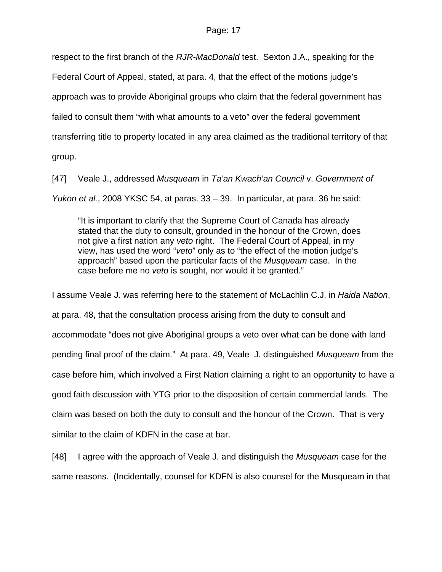respect to the first branch of the *RJR-MacDonald* test. Sexton J.A., speaking for the

Federal Court of Appeal, stated, at para. 4, that the effect of the motions judge's

approach was to provide Aboriginal groups who claim that the federal government has

failed to consult them "with what amounts to a veto" over the federal government

transferring title to property located in any area claimed as the traditional territory of that

group.

[47] Veale J., addressed *Musqueam* in *Ta'an Kwach'an Council* v. *Government of Yukon et al.*, 2008 YKSC 54, at paras. 33 – 39. In particular, at para. 36 he said:

"It is important to clarify that the Supreme Court of Canada has already stated that the duty to consult, grounded in the honour of the Crown, does not give a first nation any *veto* right. The Federal Court of Appeal, in my view, has used the word "*veto*" only as to "the effect of the motion judge's approach" based upon the particular facts of the *Musqueam* case. In the case before me no *veto* is sought, nor would it be granted."

I assume Veale J. was referring here to the statement of McLachlin C.J. in *Haida Nation*, at para. 48, that the consultation process arising from the duty to consult and accommodate "does not give Aboriginal groups a veto over what can be done with land pending final proof of the claim." At para. 49, Veale J. distinguished *Musqueam* from the case before him, which involved a First Nation claiming a right to an opportunity to have a good faith discussion with YTG prior to the disposition of certain commercial lands. The claim was based on both the duty to consult and the honour of the Crown. That is very similar to the claim of KDFN in the case at bar.

[48] I agree with the approach of Veale J. and distinguish the *Musqueam* case for the same reasons. (Incidentally, counsel for KDFN is also counsel for the Musqueam in that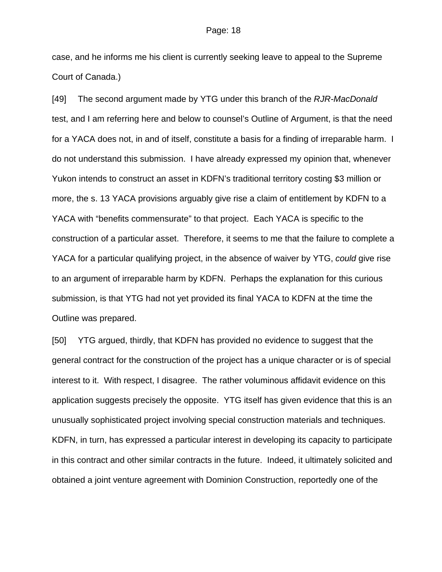case, and he informs me his client is currently seeking leave to appeal to the Supreme Court of Canada.)

[49] The second argument made by YTG under this branch of the *RJR-MacDonald* test, and I am referring here and below to counsel's Outline of Argument, is that the need for a YACA does not, in and of itself, constitute a basis for a finding of irreparable harm. I do not understand this submission. I have already expressed my opinion that, whenever Yukon intends to construct an asset in KDFN's traditional territory costing \$3 million or more, the s. 13 YACA provisions arguably give rise a claim of entitlement by KDFN to a YACA with "benefits commensurate" to that project. Each YACA is specific to the construction of a particular asset. Therefore, it seems to me that the failure to complete a YACA for a particular qualifying project, in the absence of waiver by YTG, *could* give rise to an argument of irreparable harm by KDFN. Perhaps the explanation for this curious submission, is that YTG had not yet provided its final YACA to KDFN at the time the Outline was prepared.

[50] YTG argued, thirdly, that KDFN has provided no evidence to suggest that the general contract for the construction of the project has a unique character or is of special interest to it. With respect, I disagree. The rather voluminous affidavit evidence on this application suggests precisely the opposite. YTG itself has given evidence that this is an unusually sophisticated project involving special construction materials and techniques. KDFN, in turn, has expressed a particular interest in developing its capacity to participate in this contract and other similar contracts in the future. Indeed, it ultimately solicited and obtained a joint venture agreement with Dominion Construction, reportedly one of the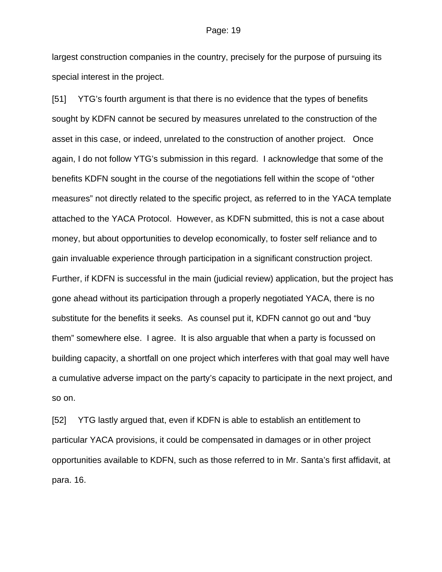largest construction companies in the country, precisely for the purpose of pursuing its special interest in the project.

[51] YTG's fourth argument is that there is no evidence that the types of benefits sought by KDFN cannot be secured by measures unrelated to the construction of the asset in this case, or indeed, unrelated to the construction of another project. Once again, I do not follow YTG's submission in this regard. I acknowledge that some of the benefits KDFN sought in the course of the negotiations fell within the scope of "other measures" not directly related to the specific project, as referred to in the YACA template attached to the YACA Protocol. However, as KDFN submitted, this is not a case about money, but about opportunities to develop economically, to foster self reliance and to gain invaluable experience through participation in a significant construction project. Further, if KDFN is successful in the main (judicial review) application, but the project has gone ahead without its participation through a properly negotiated YACA, there is no substitute for the benefits it seeks. As counsel put it, KDFN cannot go out and "buy them" somewhere else. I agree. It is also arguable that when a party is focussed on building capacity, a shortfall on one project which interferes with that goal may well have a cumulative adverse impact on the party's capacity to participate in the next project, and so on.

[52] YTG lastly argued that, even if KDFN is able to establish an entitlement to particular YACA provisions, it could be compensated in damages or in other project opportunities available to KDFN, such as those referred to in Mr. Santa's first affidavit, at para. 16.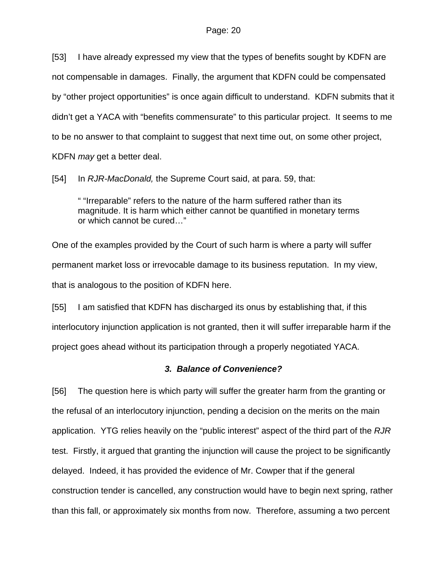[53] I have already expressed my view that the types of benefits sought by KDFN are not compensable in damages. Finally, the argument that KDFN could be compensated by "other project opportunities" is once again difficult to understand. KDFN submits that it didn't get a YACA with "benefits commensurate" to this particular project. It seems to me to be no answer to that complaint to suggest that next time out, on some other project, KDFN *may* get a better deal.

[54] In *RJR-MacDonald,* the Supreme Court said, at para. 59, that:

" "Irreparable" refers to the nature of the harm suffered rather than its magnitude. It is harm which either cannot be quantified in monetary terms or which cannot be cured…"

One of the examples provided by the Court of such harm is where a party will suffer permanent market loss or irrevocable damage to its business reputation. In my view, that is analogous to the position of KDFN here.

[55] I am satisfied that KDFN has discharged its onus by establishing that, if this interlocutory injunction application is not granted, then it will suffer irreparable harm if the project goes ahead without its participation through a properly negotiated YACA.

### *3. Balance of Convenience?*

[56] The question here is which party will suffer the greater harm from the granting or the refusal of an interlocutory injunction, pending a decision on the merits on the main application. YTG relies heavily on the "public interest" aspect of the third part of the *RJR* test. Firstly, it argued that granting the injunction will cause the project to be significantly delayed. Indeed, it has provided the evidence of Mr. Cowper that if the general construction tender is cancelled, any construction would have to begin next spring, rather than this fall, or approximately six months from now. Therefore, assuming a two percent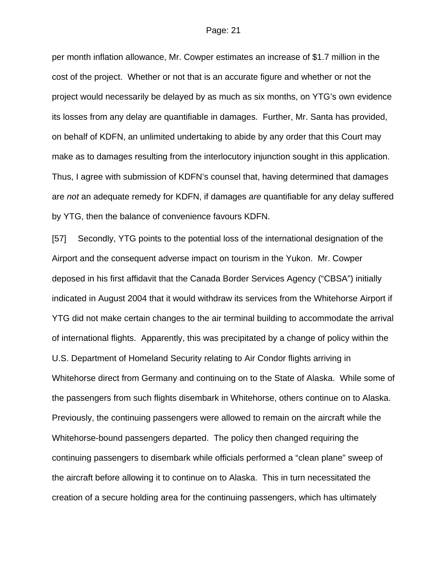per month inflation allowance, Mr. Cowper estimates an increase of \$1.7 million in the cost of the project. Whether or not that is an accurate figure and whether or not the project would necessarily be delayed by as much as six months, on YTG's own evidence its losses from any delay are quantifiable in damages. Further, Mr. Santa has provided, on behalf of KDFN, an unlimited undertaking to abide by any order that this Court may make as to damages resulting from the interlocutory injunction sought in this application. Thus, I agree with submission of KDFN's counsel that, having determined that damages are *not* an adequate remedy for KDFN, if damages *are* quantifiable for any delay suffered by YTG, then the balance of convenience favours KDFN.

[57] Secondly, YTG points to the potential loss of the international designation of the Airport and the consequent adverse impact on tourism in the Yukon. Mr. Cowper deposed in his first affidavit that the Canada Border Services Agency ("CBSA") initially indicated in August 2004 that it would withdraw its services from the Whitehorse Airport if YTG did not make certain changes to the air terminal building to accommodate the arrival of international flights. Apparently, this was precipitated by a change of policy within the U.S. Department of Homeland Security relating to Air Condor flights arriving in Whitehorse direct from Germany and continuing on to the State of Alaska. While some of the passengers from such flights disembark in Whitehorse, others continue on to Alaska. Previously, the continuing passengers were allowed to remain on the aircraft while the Whitehorse-bound passengers departed. The policy then changed requiring the continuing passengers to disembark while officials performed a "clean plane" sweep of the aircraft before allowing it to continue on to Alaska. This in turn necessitated the creation of a secure holding area for the continuing passengers, which has ultimately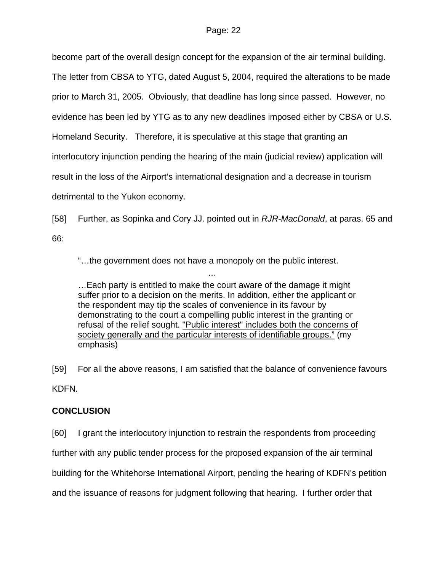become part of the overall design concept for the expansion of the air terminal building. The letter from CBSA to YTG, dated August 5, 2004, required the alterations to be made prior to March 31, 2005. Obviously, that deadline has long since passed. However, no evidence has been led by YTG as to any new deadlines imposed either by CBSA or U.S. Homeland Security. Therefore, it is speculative at this stage that granting an interlocutory injunction pending the hearing of the main (judicial review) application will result in the loss of the Airport's international designation and a decrease in tourism detrimental to the Yukon economy.

[58] Further, as Sopinka and Cory JJ. pointed out in *RJR-MacDonald*, at paras. 65 and 66:

"…the government does not have a monopoly on the public interest.

…

…Each party is entitled to make the court aware of the damage it might suffer prior to a decision on the merits. In addition, either the applicant or the respondent may tip the scales of convenience in its favour by demonstrating to the court a compelling public interest in the granting or refusal of the relief sought. "Public interest" includes both the concerns of society generally and the particular interests of identifiable groups." (my emphasis)

[59] For all the above reasons, I am satisfied that the balance of convenience favours KDFN.

## **CONCLUSION**

[60] I grant the interlocutory injunction to restrain the respondents from proceeding further with any public tender process for the proposed expansion of the air terminal building for the Whitehorse International Airport, pending the hearing of KDFN's petition and the issuance of reasons for judgment following that hearing. I further order that